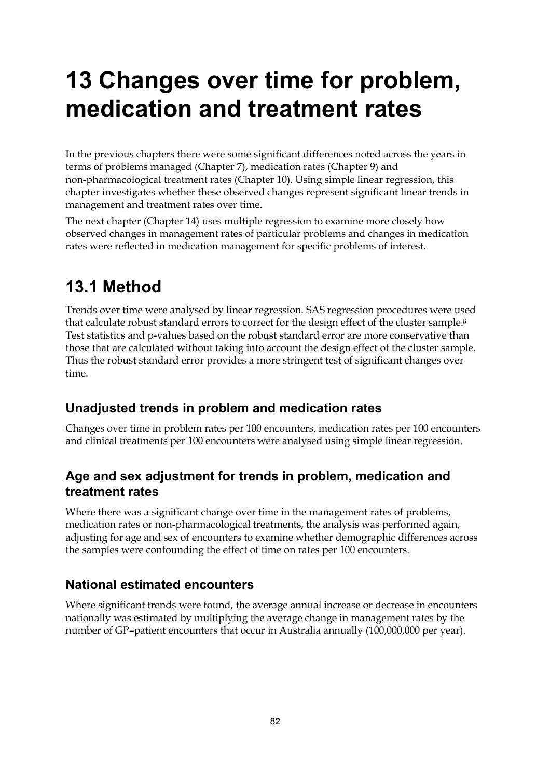# **13 Changes over time for problem, medication and treatment rates**

In the previous chapters there were some significant differences noted across the years in terms of problems managed (Chapter 7), medication rates (Chapter 9) and non-pharmacological treatment rates (Chapter 10). Using simple linear regression, this chapter investigates whether these observed changes represent significant linear trends in management and treatment rates over time.

The next chapter (Chapter 14) uses multiple regression to examine more closely how observed changes in management rates of particular problems and changes in medication rates were reflected in medication management for specific problems of interest.

# **13.1 Method**

Trends over time were analysed by linear regression. SAS regression procedures were used that calculate robust standard errors to correct for the design effect of the cluster sample.<sup>8</sup> Test statistics and p-values based on the robust standard error are more conservative than those that are calculated without taking into account the design effect of the cluster sample. Thus the robust standard error provides a more stringent test of significant changes over time.

# **Unadjusted trends in problem and medication rates**

Changes over time in problem rates per 100 encounters, medication rates per 100 encounters and clinical treatments per 100 encounters were analysed using simple linear regression.

## **Age and sex adjustment for trends in problem, medication and treatment rates**

Where there was a significant change over time in the management rates of problems, medication rates or non-pharmacological treatments, the analysis was performed again, adjusting for age and sex of encounters to examine whether demographic differences across the samples were confounding the effect of time on rates per 100 encounters.

# **National estimated encounters**

Where significant trends were found, the average annual increase or decrease in encounters nationally was estimated by multiplying the average change in management rates by the number of GP–patient encounters that occur in Australia annually (100,000,000 per year).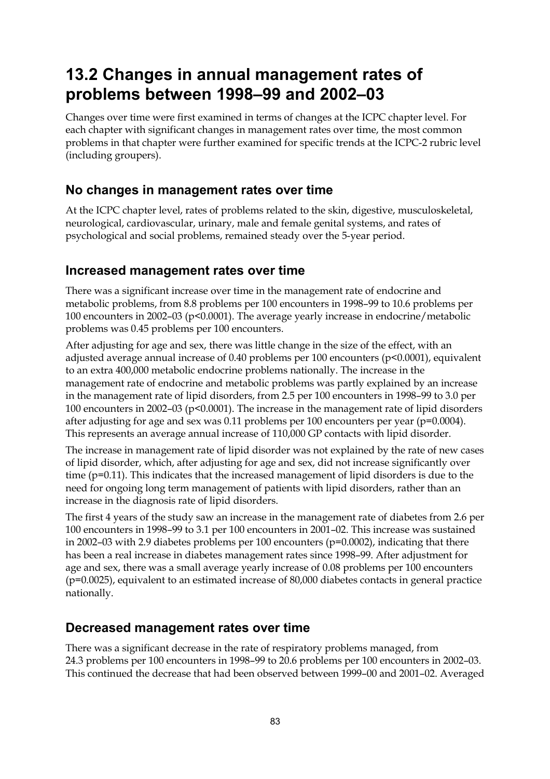# **13.2 Changes in annual management rates of problems between 1998–99 and 2002–03**

Changes over time were first examined in terms of changes at the ICPC chapter level. For each chapter with significant changes in management rates over time, the most common problems in that chapter were further examined for specific trends at the ICPC-2 rubric level (including groupers).

### **No changes in management rates over time**

At the ICPC chapter level, rates of problems related to the skin, digestive, musculoskeletal, neurological, cardiovascular, urinary, male and female genital systems, and rates of psychological and social problems, remained steady over the 5-year period.

### **Increased management rates over time**

There was a significant increase over time in the management rate of endocrine and metabolic problems, from 8.8 problems per 100 encounters in 1998–99 to 10.6 problems per 100 encounters in 2002–03 ( $p<0.0001$ ). The average yearly increase in endocrine/metabolic problems was 0.45 problems per 100 encounters.

After adjusting for age and sex, there was little change in the size of the effect, with an adjusted average annual increase of 0.40 problems per 100 encounters (p<0.0001), equivalent to an extra 400,000 metabolic endocrine problems nationally. The increase in the management rate of endocrine and metabolic problems was partly explained by an increase in the management rate of lipid disorders, from 2.5 per 100 encounters in 1998–99 to 3.0 per 100 encounters in 2002–03 (p<0.0001). The increase in the management rate of lipid disorders after adjusting for age and sex was 0.11 problems per 100 encounters per year ( $p=0.0004$ ). This represents an average annual increase of 110,000 GP contacts with lipid disorder.

The increase in management rate of lipid disorder was not explained by the rate of new cases of lipid disorder, which, after adjusting for age and sex, did not increase significantly over time (p=0.11). This indicates that the increased management of lipid disorders is due to the need for ongoing long term management of patients with lipid disorders, rather than an increase in the diagnosis rate of lipid disorders.

The first 4 years of the study saw an increase in the management rate of diabetes from 2.6 per 100 encounters in 1998–99 to 3.1 per 100 encounters in 2001–02. This increase was sustained in 2002–03 with 2.9 diabetes problems per 100 encounters ( $p=0.0002$ ), indicating that there has been a real increase in diabetes management rates since 1998–99. After adjustment for age and sex, there was a small average yearly increase of 0.08 problems per 100 encounters (p=0.0025), equivalent to an estimated increase of 80,000 diabetes contacts in general practice nationally.

### **Decreased management rates over time**

There was a significant decrease in the rate of respiratory problems managed, from 24.3 problems per 100 encounters in 1998–99 to 20.6 problems per 100 encounters in 2002–03. This continued the decrease that had been observed between 1999–00 and 2001–02. Averaged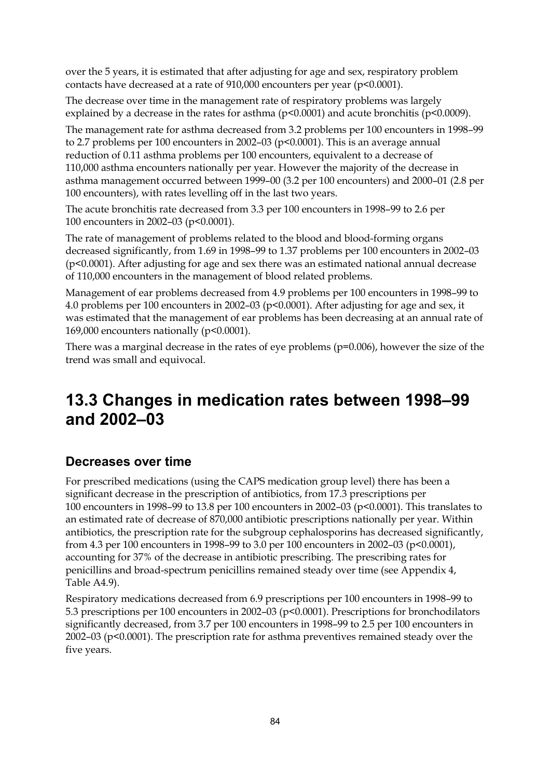over the 5 years, it is estimated that after adjusting for age and sex, respiratory problem contacts have decreased at a rate of 910,000 encounters per year (p<0.0001).

The decrease over time in the management rate of respiratory problems was largely explained by a decrease in the rates for asthma ( $p<0.0001$ ) and acute bronchitis ( $p<0.0009$ ).

The management rate for asthma decreased from 3.2 problems per 100 encounters in 1998–99 to 2.7 problems per 100 encounters in 2002–03 (p<0.0001). This is an average annual reduction of 0.11 asthma problems per 100 encounters, equivalent to a decrease of 110,000 asthma encounters nationally per year. However the majority of the decrease in asthma management occurred between 1999–00 (3.2 per 100 encounters) and 2000–01 (2.8 per 100 encounters), with rates levelling off in the last two years.

The acute bronchitis rate decreased from 3.3 per 100 encounters in 1998–99 to 2.6 per 100 encounters in 2002–03 (p<0.0001).

The rate of management of problems related to the blood and blood-forming organs decreased significantly, from 1.69 in 1998–99 to 1.37 problems per 100 encounters in 2002–03 (p<0.0001). After adjusting for age and sex there was an estimated national annual decrease of 110,000 encounters in the management of blood related problems.

Management of ear problems decreased from 4.9 problems per 100 encounters in 1998–99 to 4.0 problems per 100 encounters in 2002–03 (p<0.0001). After adjusting for age and sex, it was estimated that the management of ear problems has been decreasing at an annual rate of 169,000 encounters nationally ( $p<0.0001$ ).

There was a marginal decrease in the rates of eye problems (p=0.006), however the size of the trend was small and equivocal.

# **13.3 Changes in medication rates between 1998–99 and 2002–03**

### **Decreases over time**

For prescribed medications (using the CAPS medication group level) there has been a significant decrease in the prescription of antibiotics, from 17.3 prescriptions per 100 encounters in 1998–99 to 13.8 per 100 encounters in 2002–03 (p<0.0001). This translates to an estimated rate of decrease of 870,000 antibiotic prescriptions nationally per year. Within antibiotics, the prescription rate for the subgroup cephalosporins has decreased significantly, from 4.3 per 100 encounters in 1998–99 to 3.0 per 100 encounters in 2002–03 (p<0.0001), accounting for 37% of the decrease in antibiotic prescribing. The prescribing rates for penicillins and broad-spectrum penicillins remained steady over time (see Appendix 4, Table A4.9).

Respiratory medications decreased from 6.9 prescriptions per 100 encounters in 1998–99 to 5.3 prescriptions per 100 encounters in 2002–03 (p<0.0001). Prescriptions for bronchodilators significantly decreased, from 3.7 per 100 encounters in 1998–99 to 2.5 per 100 encounters in 2002–03 (p<0.0001). The prescription rate for asthma preventives remained steady over the five years.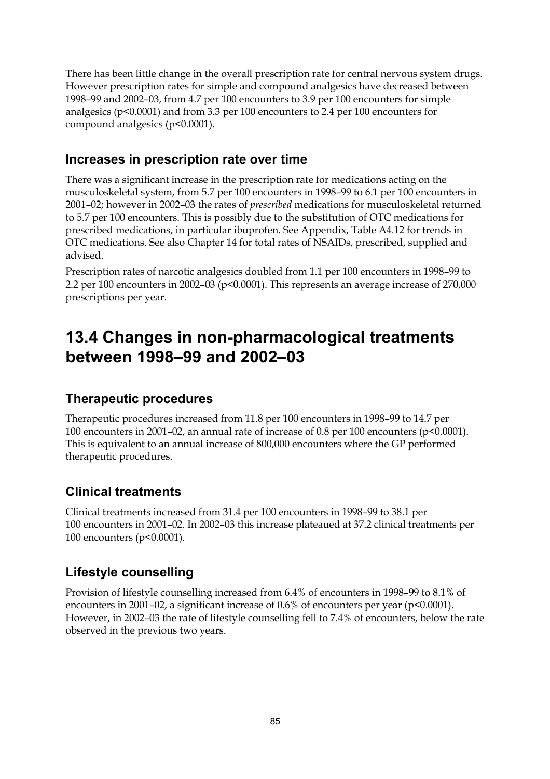There has been little change in the overall prescription rate for central nervous system drugs. However prescription rates for simple and compound analgesics have decreased between 1998–99 and 2002–03, from 4.7 per 100 encounters to 3.9 per 100 encounters for simple analgesics (p<0.0001) and from 3.3 per 100 encounters to 2.4 per 100 encounters for compound analgesics (p<0.0001).

#### **Increases in prescription rate over time**

There was a significant increase in the prescription rate for medications acting on the musculoskeletal system, from 5.7 per 100 encounters in 1998–99 to 6.1 per 100 encounters in 2001–02; however in 2002–03 the rates of *prescribed* medications for musculoskeletal returned to 5.7 per 100 encounters. This is possibly due to the substitution of OTC medications for prescribed medications, in particular ibuprofen. See Appendix, Table A4.12 for trends in OTC medications. See also Chapter 14 for total rates of NSAIDs, prescribed, supplied and advised.

Prescription rates of narcotic analgesics doubled from 1.1 per 100 encounters in 1998–99 to 2.2 per 100 encounters in 2002–03 ( $p<0.0001$ ). This represents an average increase of 270,000 prescriptions per year.

# **13.4 Changes in non-pharmacological treatments between 1998–99 and 2002–03**

#### **Therapeutic procedures**

Therapeutic procedures increased from 11.8 per 100 encounters in 1998–99 to 14.7 per 100 encounters in 2001–02, an annual rate of increase of 0.8 per 100 encounters (p<0.0001). This is equivalent to an annual increase of 800,000 encounters where the GP performed therapeutic procedures.

### **Clinical treatments**

Clinical treatments increased from 31.4 per 100 encounters in 1998–99 to 38.1 per 100 encounters in 2001–02. In 2002–03 this increase plateaued at 37.2 clinical treatments per 100 encounters (p<0.0001).

### **Lifestyle counselling**

Provision of lifestyle counselling increased from 6.4% of encounters in 1998–99 to 8.1% of encounters in 2001–02, a significant increase of 0.6% of encounters per year (p<0.0001). However, in 2002–03 the rate of lifestyle counselling fell to 7.4% of encounters, below the rate observed in the previous two years.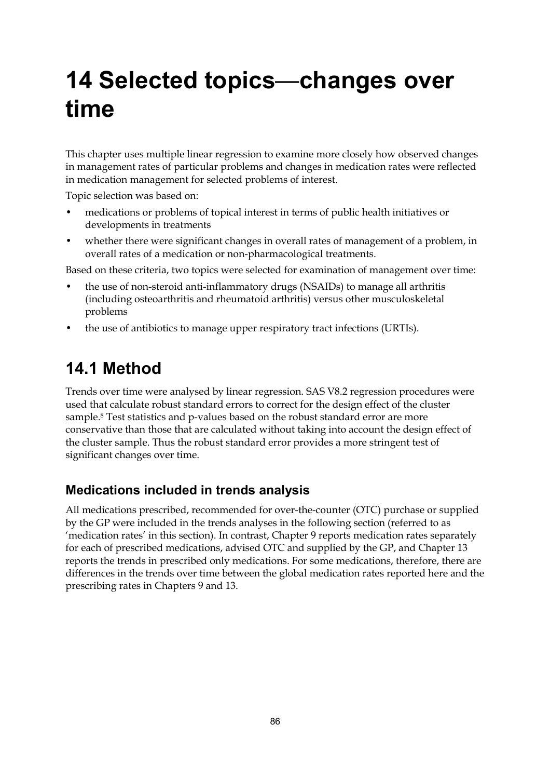# **14 Selected topics**—**changes over time**

This chapter uses multiple linear regression to examine more closely how observed changes in management rates of particular problems and changes in medication rates were reflected in medication management for selected problems of interest.

Topic selection was based on:

- medications or problems of topical interest in terms of public health initiatives or developments in treatments
- whether there were significant changes in overall rates of management of a problem, in overall rates of a medication or non-pharmacological treatments.

Based on these criteria, two topics were selected for examination of management over time:

- the use of non-steroid anti-inflammatory drugs (NSAIDs) to manage all arthritis (including osteoarthritis and rheumatoid arthritis) versus other musculoskeletal problems
- the use of antibiotics to manage upper respiratory tract infections (URTIs).

# **14.1 Method**

Trends over time were analysed by linear regression. SAS V8.2 regression procedures were used that calculate robust standard errors to correct for the design effect of the cluster sample.8 Test statistics and p-values based on the robust standard error are more conservative than those that are calculated without taking into account the design effect of the cluster sample. Thus the robust standard error provides a more stringent test of significant changes over time.

### **Medications included in trends analysis**

All medications prescribed, recommended for over-the-counter (OTC) purchase or supplied by the GP were included in the trends analyses in the following section (referred to as 'medication rates' in this section). In contrast, Chapter 9 reports medication rates separately for each of prescribed medications, advised OTC and supplied by the GP, and Chapter 13 reports the trends in prescribed only medications. For some medications, therefore, there are differences in the trends over time between the global medication rates reported here and the prescribing rates in Chapters 9 and 13.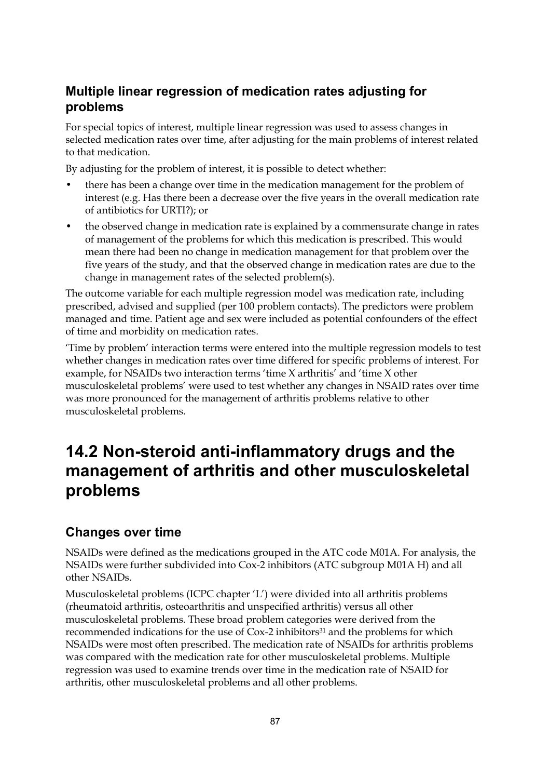# **Multiple linear regression of medication rates adjusting for problems**

For special topics of interest, multiple linear regression was used to assess changes in selected medication rates over time, after adjusting for the main problems of interest related to that medication.

By adjusting for the problem of interest, it is possible to detect whether:

- there has been a change over time in the medication management for the problem of interest (e.g. Has there been a decrease over the five years in the overall medication rate of antibiotics for URTI?); or
- the observed change in medication rate is explained by a commensurate change in rates of management of the problems for which this medication is prescribed. This would mean there had been no change in medication management for that problem over the five years of the study, and that the observed change in medication rates are due to the change in management rates of the selected problem(s).

The outcome variable for each multiple regression model was medication rate, including prescribed, advised and supplied (per 100 problem contacts). The predictors were problem managed and time. Patient age and sex were included as potential confounders of the effect of time and morbidity on medication rates.

'Time by problem' interaction terms were entered into the multiple regression models to test whether changes in medication rates over time differed for specific problems of interest. For example, for NSAIDs two interaction terms 'time X arthritis' and 'time X other musculoskeletal problems' were used to test whether any changes in NSAID rates over time was more pronounced for the management of arthritis problems relative to other musculoskeletal problems.

# **14.2 Non-steroid anti-inflammatory drugs and the management of arthritis and other musculoskeletal problems**

### **Changes over time**

NSAIDs were defined as the medications grouped in the ATC code M01A. For analysis, the NSAIDs were further subdivided into Cox-2 inhibitors (ATC subgroup M01A H) and all other NSAIDs.

Musculoskeletal problems (ICPC chapter 'L') were divided into all arthritis problems (rheumatoid arthritis, osteoarthritis and unspecified arthritis) versus all other musculoskeletal problems. These broad problem categories were derived from the recommended indications for the use of Cox-2 inhibitors<sup>31</sup> and the problems for which NSAIDs were most often prescribed. The medication rate of NSAIDs for arthritis problems was compared with the medication rate for other musculoskeletal problems. Multiple regression was used to examine trends over time in the medication rate of NSAID for arthritis, other musculoskeletal problems and all other problems.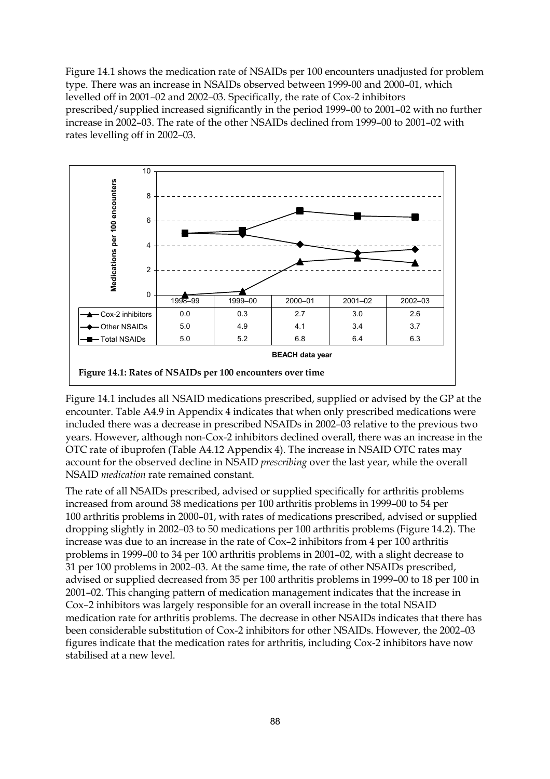Figure 14.1 shows the medication rate of NSAIDs per 100 encounters unadjusted for problem type. There was an increase in NSAIDs observed between 1999-00 and 2000–01, which levelled off in 2001–02 and 2002–03. Specifically, the rate of Cox-2 inhibitors prescribed/supplied increased significantly in the period 1999–00 to 2001–02 with no further increase in 2002–03. The rate of the other NSAIDs declined from 1999–00 to 2001–02 with rates levelling off in 2002–03.



Figure 14.1 includes all NSAID medications prescribed, supplied or advised by the GP at the encounter. Table A4.9 in Appendix 4 indicates that when only prescribed medications were included there was a decrease in prescribed NSAIDs in 2002–03 relative to the previous two years. However, although non-Cox-2 inhibitors declined overall, there was an increase in the OTC rate of ibuprofen (Table A4.12 Appendix 4). The increase in NSAID OTC rates may account for the observed decline in NSAID *prescribing* over the last year, while the overall NSAID *medication* rate remained constant.

The rate of all NSAIDs prescribed, advised or supplied specifically for arthritis problems increased from around 38 medications per 100 arthritis problems in 1999–00 to 54 per 100 arthritis problems in 2000–01, with rates of medications prescribed, advised or supplied dropping slightly in 2002–03 to 50 medications per 100 arthritis problems (Figure 14.2). The increase was due to an increase in the rate of Cox–2 inhibitors from 4 per 100 arthritis problems in 1999–00 to 34 per 100 arthritis problems in 2001–02, with a slight decrease to 31 per 100 problems in 2002–03. At the same time, the rate of other NSAIDs prescribed, advised or supplied decreased from 35 per 100 arthritis problems in 1999–00 to 18 per 100 in 2001–02. This changing pattern of medication management indicates that the increase in Cox–2 inhibitors was largely responsible for an overall increase in the total NSAID medication rate for arthritis problems. The decrease in other NSAIDs indicates that there has been considerable substitution of Cox-2 inhibitors for other NSAIDs. However, the 2002–03 figures indicate that the medication rates for arthritis, including Cox-2 inhibitors have now stabilised at a new level.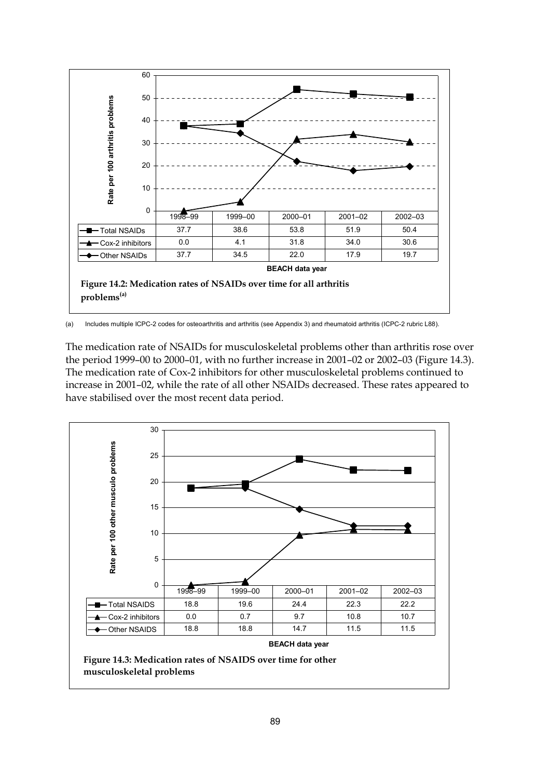

(a) Includes multiple ICPC-2 codes for osteoarthritis and arthritis (see Appendix 3) and rheumatoid arthritis (ICPC-2 rubric L88).

The medication rate of NSAIDs for musculoskeletal problems other than arthritis rose over the period 1999–00 to 2000–01, with no further increase in 2001–02 or 2002–03 (Figure 14.3). The medication rate of Cox-2 inhibitors for other musculoskeletal problems continued to increase in 2001–02, while the rate of all other NSAIDs decreased. These rates appeared to have stabilised over the most recent data period.

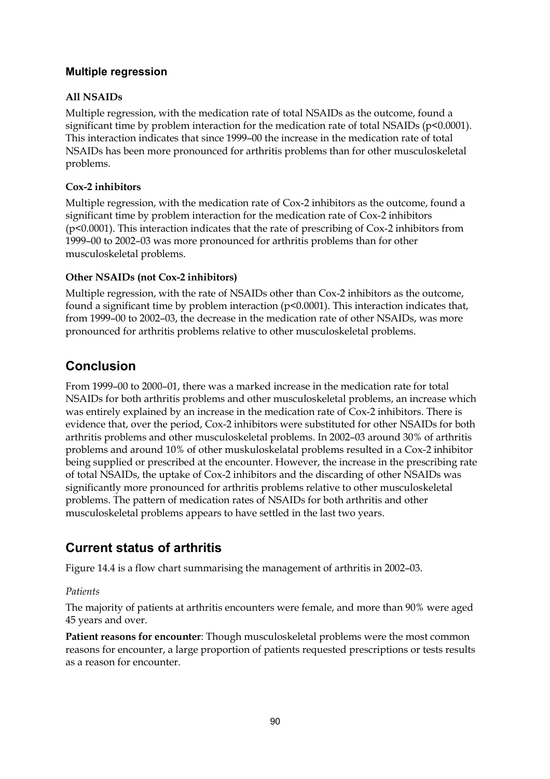#### **Multiple regression**

#### **All NSAIDs**

Multiple regression, with the medication rate of total NSAIDs as the outcome, found a significant time by problem interaction for the medication rate of total NSAIDs ( $p$ <0.0001). This interaction indicates that since 1999–00 the increase in the medication rate of total NSAIDs has been more pronounced for arthritis problems than for other musculoskeletal problems.

#### **Cox-2 inhibitors**

Multiple regression, with the medication rate of Cox-2 inhibitors as the outcome, found a significant time by problem interaction for the medication rate of Cox-2 inhibitors (p<0.0001). This interaction indicates that the rate of prescribing of Cox-2 inhibitors from 1999–00 to 2002–03 was more pronounced for arthritis problems than for other musculoskeletal problems.

#### **Other NSAIDs (not Cox-2 inhibitors)**

Multiple regression, with the rate of NSAIDs other than Cox-2 inhibitors as the outcome, found a significant time by problem interaction (p<0.0001). This interaction indicates that, from 1999–00 to 2002–03, the decrease in the medication rate of other NSAIDs, was more pronounced for arthritis problems relative to other musculoskeletal problems.

### **Conclusion**

From 1999–00 to 2000–01, there was a marked increase in the medication rate for total NSAIDs for both arthritis problems and other musculoskeletal problems, an increase which was entirely explained by an increase in the medication rate of Cox-2 inhibitors. There is evidence that, over the period, Cox-2 inhibitors were substituted for other NSAIDs for both arthritis problems and other musculoskeletal problems. In 2002–03 around 30% of arthritis problems and around 10% of other muskuloskelatal problems resulted in a Cox-2 inhibitor being supplied or prescribed at the encounter. However, the increase in the prescribing rate of total NSAIDs, the uptake of Cox-2 inhibitors and the discarding of other NSAIDs was significantly more pronounced for arthritis problems relative to other musculoskeletal problems. The pattern of medication rates of NSAIDs for both arthritis and other musculoskeletal problems appears to have settled in the last two years.

# **Current status of arthritis**

Figure 14.4 is a flow chart summarising the management of arthritis in 2002–03.

#### *Patients*

The majority of patients at arthritis encounters were female, and more than 90% were aged 45 years and over.

**Patient reasons for encounter**: Though musculoskeletal problems were the most common reasons for encounter, a large proportion of patients requested prescriptions or tests results as a reason for encounter.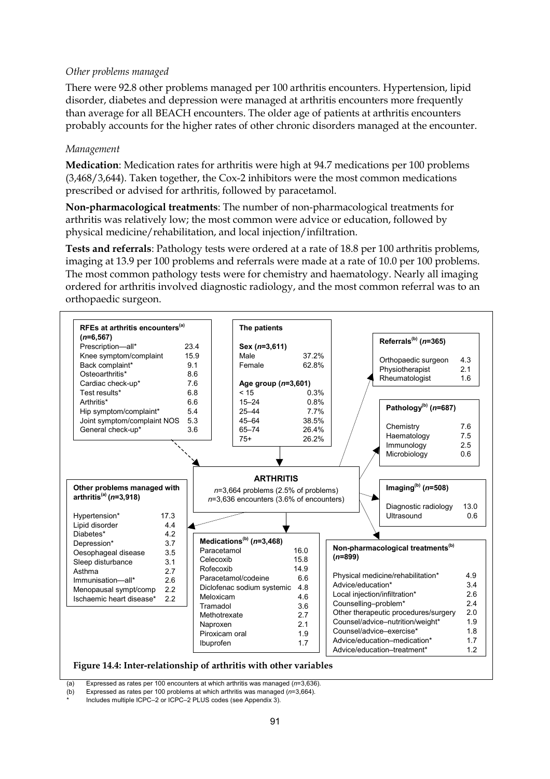#### *Other problems managed*

There were 92.8 other problems managed per 100 arthritis encounters. Hypertension, lipid disorder, diabetes and depression were managed at arthritis encounters more frequently than average for all BEACH encounters. The older age of patients at arthritis encounters probably accounts for the higher rates of other chronic disorders managed at the encounter.

#### *Management*

**Medication**: Medication rates for arthritis were high at 94.7 medications per 100 problems (3,468/3,644). Taken together, the Cox-2 inhibitors were the most common medications prescribed or advised for arthritis, followed by paracetamol.

**Non-pharmacological treatments**: The number of non-pharmacological treatments for arthritis was relatively low; the most common were advice or education, followed by physical medicine/rehabilitation, and local injection/infiltration.

**Tests and referrals**: Pathology tests were ordered at a rate of 18.8 per 100 arthritis problems, imaging at 13.9 per 100 problems and referrals were made at a rate of 10.0 per 100 problems. The most common pathology tests were for chemistry and haematology. Nearly all imaging ordered for arthritis involved diagnostic radiology, and the most common referral was to an orthopaedic surgeon.



**Figure 14.4: Inter-relationship of arthritis with other variables**

(a) Expressed as rates per 100 encounters at which arthritis was managed (*n*=3,636).

(b) Expressed as rates per 100 problems at which arthritis was managed (*n*=3,664).

Includes multiple ICPC–2 or ICPC–2 PLUS codes (see Appendix 3).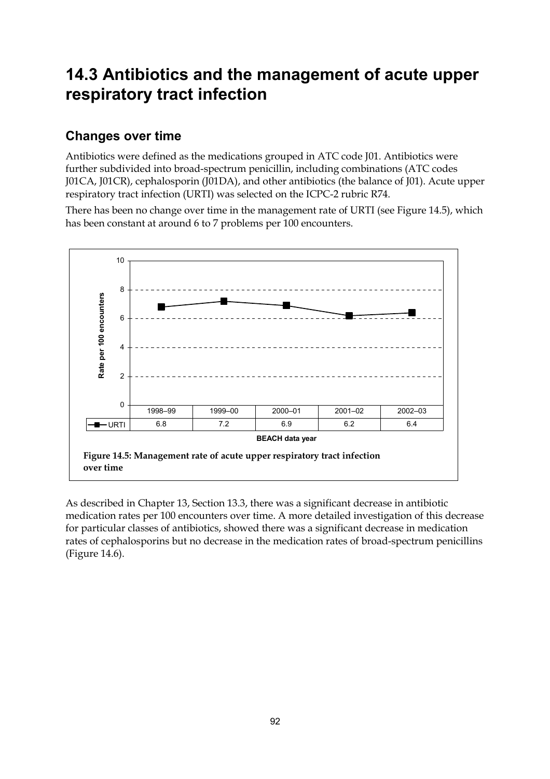# **14.3 Antibiotics and the management of acute upper respiratory tract infection**

### **Changes over time**

Antibiotics were defined as the medications grouped in ATC code J01. Antibiotics were further subdivided into broad-spectrum penicillin, including combinations (ATC codes J01CA, J01CR), cephalosporin (J01DA), and other antibiotics (the balance of J01). Acute upper respiratory tract infection (URTI) was selected on the ICPC-2 rubric R74.

There has been no change over time in the management rate of URTI (see Figure 14.5), which has been constant at around 6 to 7 problems per 100 encounters.



As described in Chapter 13, Section 13.3, there was a significant decrease in antibiotic medication rates per 100 encounters over time. A more detailed investigation of this decrease for particular classes of antibiotics, showed there was a significant decrease in medication rates of cephalosporins but no decrease in the medication rates of broad-spectrum penicillins (Figure 14.6).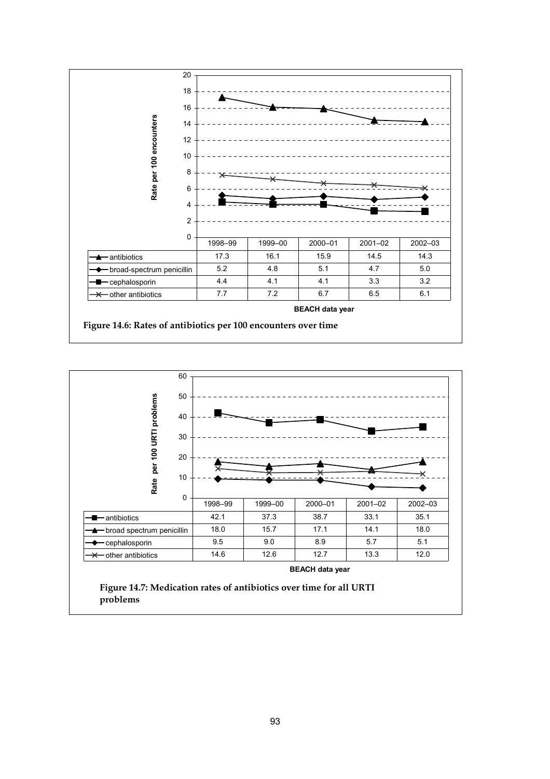



**problems**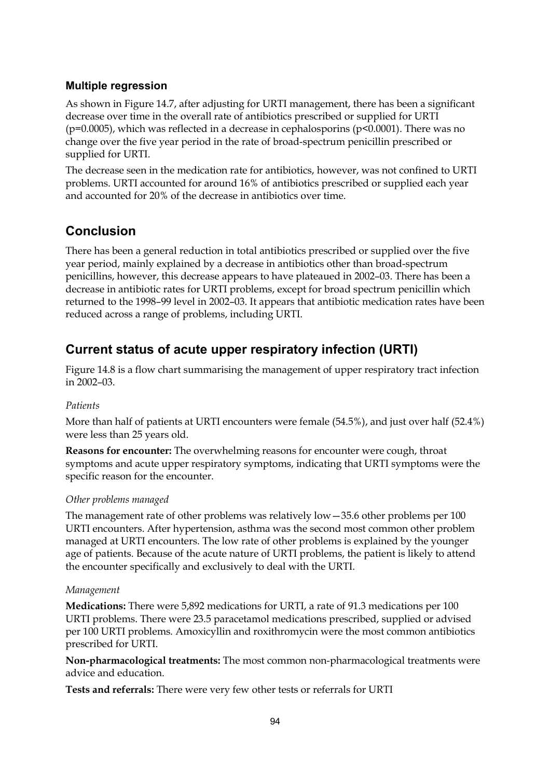#### **Multiple regression**

As shown in Figure 14.7, after adjusting for URTI management, there has been a significant decrease over time in the overall rate of antibiotics prescribed or supplied for URTI (p=0.0005), which was reflected in a decrease in cephalosporins (p<0.0001). There was no change over the five year period in the rate of broad-spectrum penicillin prescribed or supplied for URTI.

The decrease seen in the medication rate for antibiotics, however, was not confined to URTI problems. URTI accounted for around 16% of antibiotics prescribed or supplied each year and accounted for 20% of the decrease in antibiotics over time.

## **Conclusion**

There has been a general reduction in total antibiotics prescribed or supplied over the five year period, mainly explained by a decrease in antibiotics other than broad-spectrum penicillins, however, this decrease appears to have plateaued in 2002–03. There has been a decrease in antibiotic rates for URTI problems, except for broad spectrum penicillin which returned to the 1998–99 level in 2002–03. It appears that antibiotic medication rates have been reduced across a range of problems, including URTI.

## **Current status of acute upper respiratory infection (URTI)**

Figure 14.8 is a flow chart summarising the management of upper respiratory tract infection in 2002–03.

#### *Patients*

More than half of patients at URTI encounters were female (54.5%), and just over half (52.4%) were less than 25 years old.

**Reasons for encounter:** The overwhelming reasons for encounter were cough, throat symptoms and acute upper respiratory symptoms, indicating that URTI symptoms were the specific reason for the encounter.

#### *Other problems managed*

The management rate of other problems was relatively low—35.6 other problems per 100 URTI encounters. After hypertension, asthma was the second most common other problem managed at URTI encounters. The low rate of other problems is explained by the younger age of patients. Because of the acute nature of URTI problems, the patient is likely to attend the encounter specifically and exclusively to deal with the URTI.

#### *Management*

**Medications:** There were 5,892 medications for URTI, a rate of 91.3 medications per 100 URTI problems. There were 23.5 paracetamol medications prescribed, supplied or advised per 100 URTI problems. Amoxicyllin and roxithromycin were the most common antibiotics prescribed for URTI.

**Non-pharmacological treatments:** The most common non-pharmacological treatments were advice and education.

**Tests and referrals:** There were very few other tests or referrals for URTI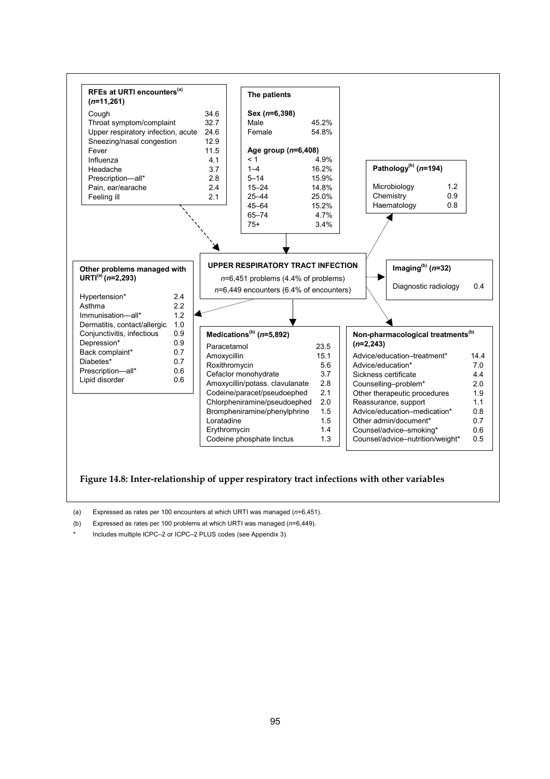

#### **Figure 14.8: Inter-relationship of upper respiratory tract infections with other variables**

(a) Expressed as rates per 100 encounters at which URTI was managed (*n*=6,451).

(b) Expressed as rates per 100 problems at which URTI was managed (*n*=6,449).

Includes multiple ICPC–2 or ICPC–2 PLUS codes (see Appendix 3).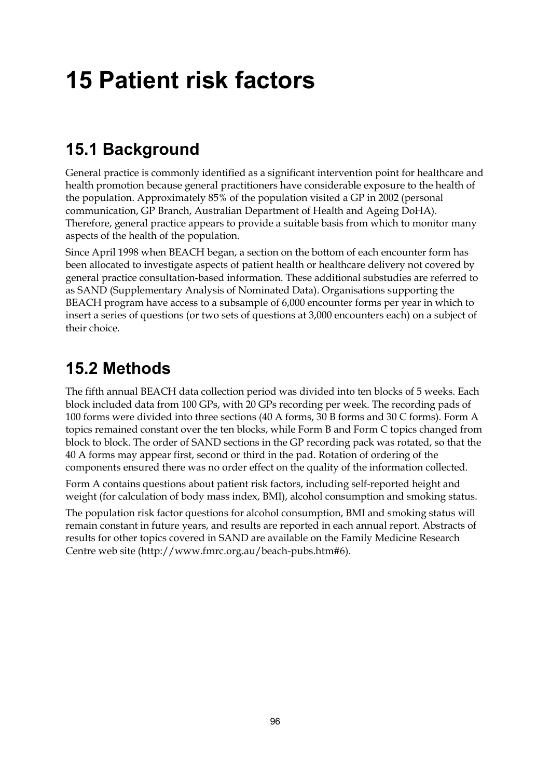# **15 Patient risk factors**

# **15.1 Background**

General practice is commonly identified as a significant intervention point for healthcare and health promotion because general practitioners have considerable exposure to the health of the population. Approximately 85% of the population visited a GP in 2002 (personal communication, GP Branch, Australian Department of Health and Ageing DoHA). Therefore, general practice appears to provide a suitable basis from which to monitor many aspects of the health of the population.

Since April 1998 when BEACH began, a section on the bottom of each encounter form has been allocated to investigate aspects of patient health or healthcare delivery not covered by general practice consultation-based information. These additional substudies are referred to as SAND (Supplementary Analysis of Nominated Data). Organisations supporting the BEACH program have access to a subsample of 6,000 encounter forms per year in which to insert a series of questions (or two sets of questions at 3,000 encounters each) on a subject of their choice.

# **15.2 Methods**

The fifth annual BEACH data collection period was divided into ten blocks of 5 weeks. Each block included data from 100 GPs, with 20 GPs recording per week. The recording pads of 100 forms were divided into three sections (40 A forms, 30 B forms and 30 C forms). Form A topics remained constant over the ten blocks, while Form B and Form C topics changed from block to block. The order of SAND sections in the GP recording pack was rotated, so that the 40 A forms may appear first, second or third in the pad. Rotation of ordering of the components ensured there was no order effect on the quality of the information collected.

Form A contains questions about patient risk factors, including self-reported height and weight (for calculation of body mass index, BMI), alcohol consumption and smoking status.

The population risk factor questions for alcohol consumption, BMI and smoking status will remain constant in future years, and results are reported in each annual report. Abstracts of results for other topics covered in SAND are available on the Family Medicine Research Centre web site (http://www.fmrc.org.au/beach-pubs.htm#6).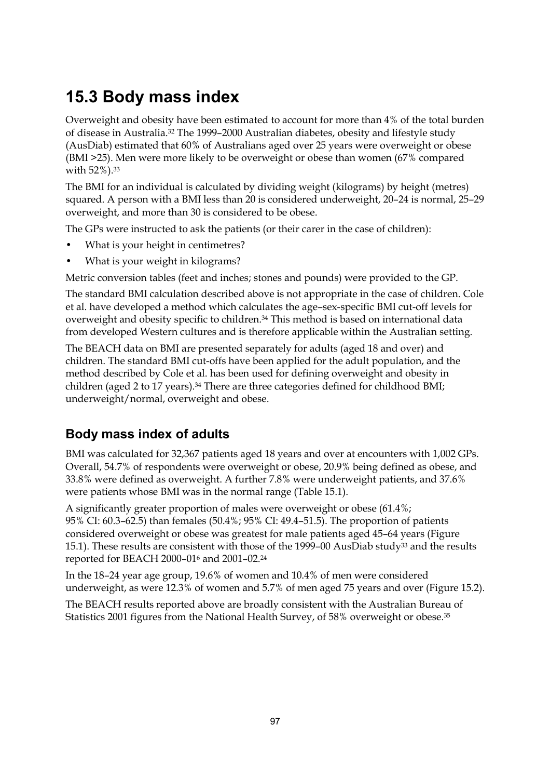# **15.3 Body mass index**

Overweight and obesity have been estimated to account for more than 4% of the total burden of disease in Australia.32 The 1999–2000 Australian diabetes, obesity and lifestyle study (AusDiab) estimated that 60% of Australians aged over 25 years were overweight or obese (BMI >25). Men were more likely to be overweight or obese than women (67% compared with 52%).33

The BMI for an individual is calculated by dividing weight (kilograms) by height (metres) squared. A person with a BMI less than 20 is considered underweight, 20–24 is normal, 25–29 overweight, and more than 30 is considered to be obese.

The GPs were instructed to ask the patients (or their carer in the case of children):

- What is your height in centimetres?
- What is your weight in kilograms?

Metric conversion tables (feet and inches; stones and pounds) were provided to the GP.

The standard BMI calculation described above is not appropriate in the case of children. Cole et al. have developed a method which calculates the age–sex-specific BMI cut-off levels for overweight and obesity specific to children.34 This method is based on international data from developed Western cultures and is therefore applicable within the Australian setting.

The BEACH data on BMI are presented separately for adults (aged 18 and over) and children. The standard BMI cut-offs have been applied for the adult population, and the method described by Cole et al. has been used for defining overweight and obesity in children (aged 2 to 17 years).34 There are three categories defined for childhood BMI; underweight/normal, overweight and obese.

### **Body mass index of adults**

BMI was calculated for 32,367 patients aged 18 years and over at encounters with 1,002 GPs. Overall, 54.7% of respondents were overweight or obese, 20.9% being defined as obese, and 33.8% were defined as overweight. A further 7.8% were underweight patients, and 37.6% were patients whose BMI was in the normal range (Table 15.1).

A significantly greater proportion of males were overweight or obese (61.4%; 95% CI: 60.3–62.5) than females (50.4%; 95% CI: 49.4–51.5). The proportion of patients considered overweight or obese was greatest for male patients aged 45–64 years (Figure 15.1). These results are consistent with those of the 1999–00 AusDiab study<sup>33</sup> and the results reported for BEACH 2000–016 and 2001–02.24

In the 18–24 year age group, 19.6% of women and 10.4% of men were considered underweight, as were 12.3% of women and 5.7% of men aged 75 years and over (Figure 15.2).

The BEACH results reported above are broadly consistent with the Australian Bureau of Statistics 2001 figures from the National Health Survey, of 58% overweight or obese.35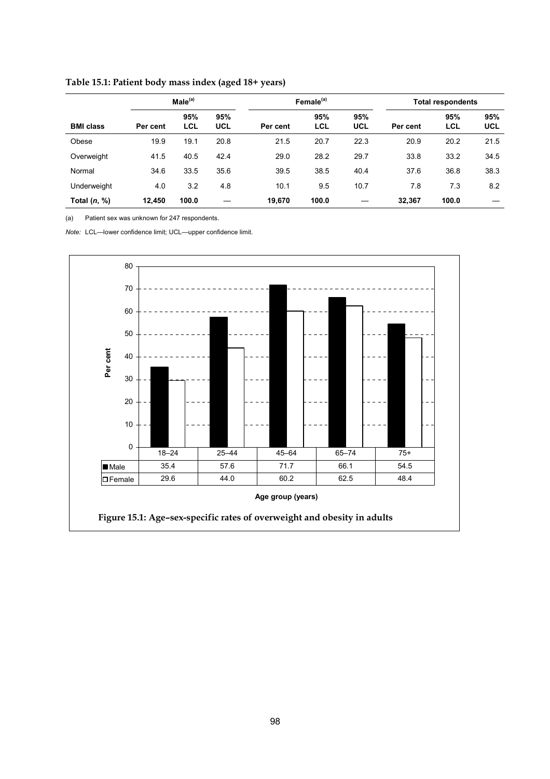|                  | Male <sup>(a)</sup> |                   |                   |          | Female <sup>(a)</sup> |                   | <b>Total respondents</b> |                   |            |
|------------------|---------------------|-------------------|-------------------|----------|-----------------------|-------------------|--------------------------|-------------------|------------|
| <b>BMI class</b> | Per cent            | 95%<br><b>LCL</b> | 95%<br><b>UCL</b> | Per cent | 95%<br><b>LCL</b>     | 95%<br><b>UCL</b> | Per cent                 | 95%<br><b>LCL</b> | 95%<br>UCL |
| Obese            | 19.9                | 19.1              | 20.8              | 21.5     | 20.7                  | 22.3              | 20.9                     | 20.2              | 21.5       |
| Overweight       | 41.5                | 40.5              | 42.4              | 29.0     | 28.2                  | 29.7              | 33.8                     | 33.2              | 34.5       |
| Normal           | 34.6                | 33.5              | 35.6              | 39.5     | 38.5                  | 40.4              | 37.6                     | 36.8              | 38.3       |
| Underweight      | 4.0                 | 3.2               | 4.8               | 10.1     | 9.5                   | 10.7              | 7.8                      | 7.3               | 8.2        |
| Total $(n, %)$   | 12.450              | 100.0             |                   | 19,670   | 100.0                 |                   | 32,367                   | 100.0             |            |

**Table 15.1: Patient body mass index (aged 18+ years)**

(a) Patient sex was unknown for 247 respondents.

*Note:* LCL—lower confidence limit; UCL—upper confidence limit.

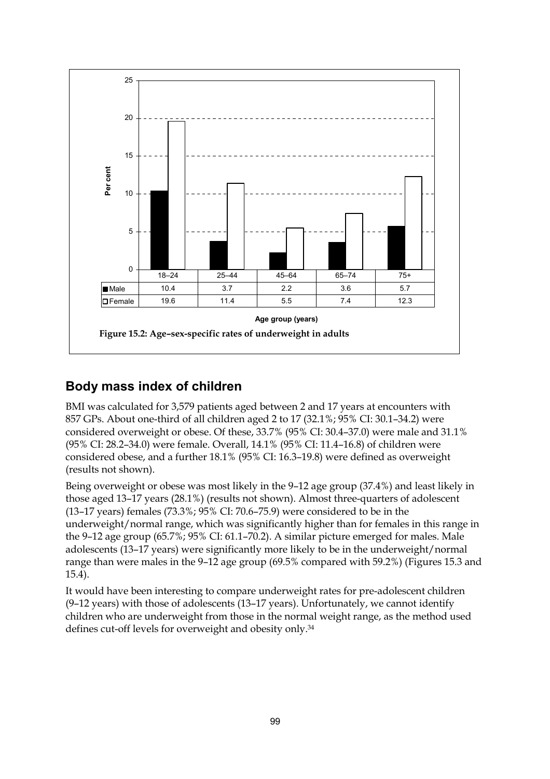

### **Body mass index of children**

BMI was calculated for 3,579 patients aged between 2 and 17 years at encounters with 857 GPs. About one-third of all children aged 2 to 17 (32.1%; 95% CI: 30.1–34.2) were considered overweight or obese. Of these, 33.7% (95% CI: 30.4–37.0) were male and 31.1% (95% CI: 28.2–34.0) were female. Overall, 14.1% (95% CI: 11.4–16.8) of children were considered obese, and a further 18.1% (95% CI: 16.3–19.8) were defined as overweight (results not shown).

Being overweight or obese was most likely in the 9–12 age group (37.4%) and least likely in those aged 13–17 years (28.1%) (results not shown). Almost three-quarters of adolescent (13–17 years) females (73.3%; 95% CI: 70.6–75.9) were considered to be in the underweight/normal range, which was significantly higher than for females in this range in the 9–12 age group (65.7%; 95% CI: 61.1–70.2). A similar picture emerged for males. Male adolescents (13–17 years) were significantly more likely to be in the underweight/normal range than were males in the 9–12 age group (69.5% compared with 59.2%) (Figures 15.3 and 15.4).

It would have been interesting to compare underweight rates for pre-adolescent children (9–12 years) with those of adolescents (13–17 years). Unfortunately, we cannot identify children who are underweight from those in the normal weight range, as the method used defines cut-off levels for overweight and obesity only.34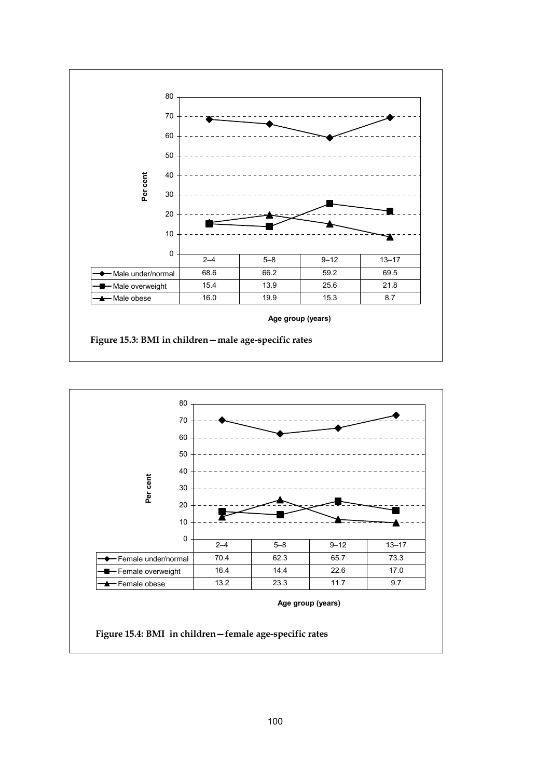

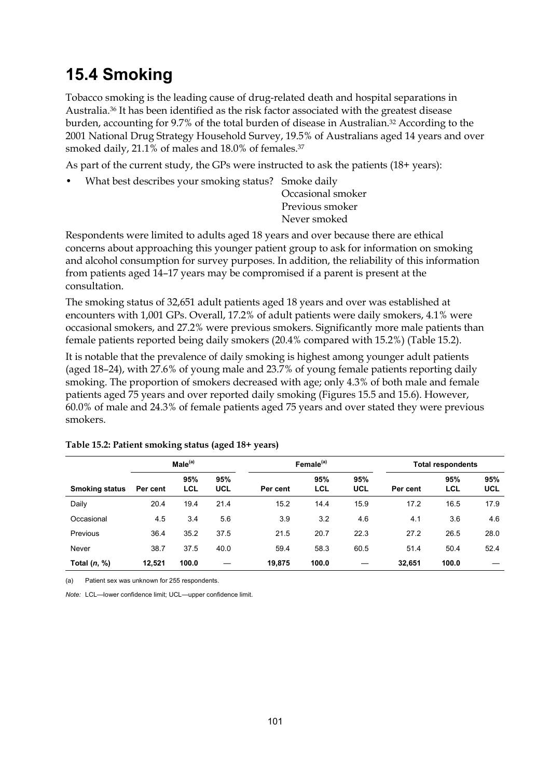# **15.4 Smoking**

Tobacco smoking is the leading cause of drug-related death and hospital separations in Australia.36 It has been identified as the risk factor associated with the greatest disease burden, accounting for 9.7% of the total burden of disease in Australian.32 According to the 2001 National Drug Strategy Household Survey, 19.5% of Australians aged 14 years and over smoked daily, 21.1% of males and 18.0% of females.<sup>37</sup>

As part of the current study, the GPs were instructed to ask the patients (18+ years):

• What best describes your smoking status? Smoke daily

Occasional smoker Previous smoker Never smoked

Respondents were limited to adults aged 18 years and over because there are ethical concerns about approaching this younger patient group to ask for information on smoking and alcohol consumption for survey purposes. In addition, the reliability of this information from patients aged 14–17 years may be compromised if a parent is present at the consultation.

The smoking status of 32,651 adult patients aged 18 years and over was established at encounters with 1,001 GPs. Overall, 17.2% of adult patients were daily smokers, 4.1% were occasional smokers, and 27.2% were previous smokers. Significantly more male patients than female patients reported being daily smokers (20.4% compared with 15.2%) (Table 15.2).

It is notable that the prevalence of daily smoking is highest among younger adult patients (aged 18–24), with 27.6% of young male and 23.7% of young female patients reporting daily smoking. The proportion of smokers decreased with age; only 4.3% of both male and female patients aged 75 years and over reported daily smoking (Figures 15.5 and 15.6). However, 60.0% of male and 24.3% of female patients aged 75 years and over stated they were previous smokers.

|                       | Male <sup>(a)</sup> |                   |                   |          | Female <sup>(a)</sup> |                   | <b>Total respondents</b> |                   |                   |
|-----------------------|---------------------|-------------------|-------------------|----------|-----------------------|-------------------|--------------------------|-------------------|-------------------|
| <b>Smoking status</b> | Per cent            | 95%<br><b>LCL</b> | 95%<br><b>UCL</b> | Per cent | 95%<br><b>LCL</b>     | 95%<br><b>UCL</b> | Per cent                 | 95%<br><b>LCL</b> | 95%<br><b>UCL</b> |
| Daily                 | 20.4                | 19.4              | 21.4              | 15.2     | 14.4                  | 15.9              | 17.2                     | 16.5              | 17.9              |
| Occasional            | 4.5                 | 3.4               | 5.6               | 3.9      | 3.2                   | 4.6               | 4.1                      | 3.6               | 4.6               |
| Previous              | 36.4                | 35.2              | 37.5              | 21.5     | 20.7                  | 22.3              | 27.2                     | 26.5              | 28.0              |
| Never                 | 38.7                | 37.5              | 40.0              | 59.4     | 58.3                  | 60.5              | 51.4                     | 50.4              | 52.4              |
| Total $(n, %)$        | 12,521              | 100.0             |                   | 19.875   | 100.0                 |                   | 32,651                   | 100.0             |                   |

**Table 15.2: Patient smoking status (aged 18+ years)**

(a) Patient sex was unknown for 255 respondents.

*Note:* LCL—lower confidence limit; UCL—upper confidence limit.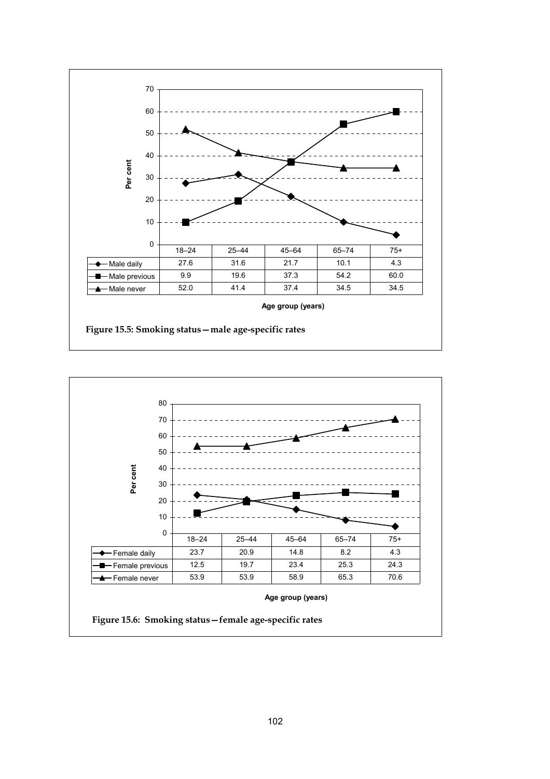

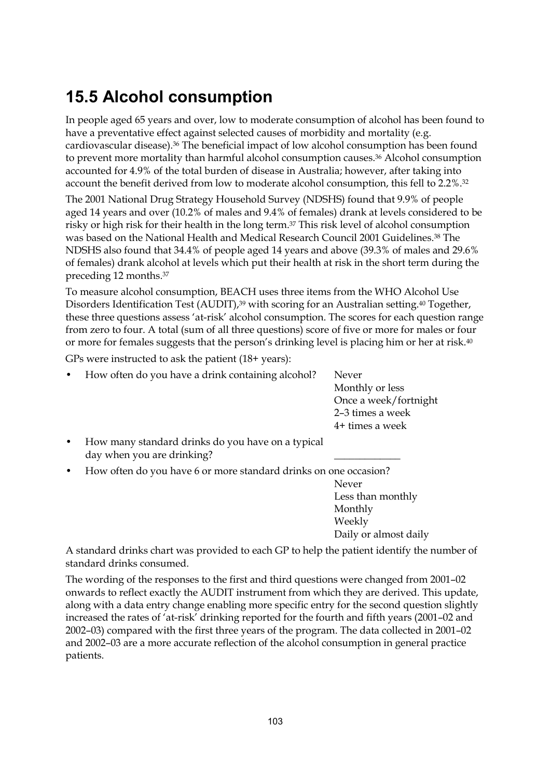# **15.5 Alcohol consumption**

In people aged 65 years and over, low to moderate consumption of alcohol has been found to have a preventative effect against selected causes of morbidity and mortality (e.g. cardiovascular disease).36 The beneficial impact of low alcohol consumption has been found to prevent more mortality than harmful alcohol consumption causes.36 Alcohol consumption accounted for 4.9% of the total burden of disease in Australia; however, after taking into account the benefit derived from low to moderate alcohol consumption, this fell to 2.2%.32

The 2001 National Drug Strategy Household Survey (NDSHS) found that 9.9% of people aged 14 years and over (10.2% of males and 9.4% of females) drank at levels considered to be risky or high risk for their health in the long term.37 This risk level of alcohol consumption was based on the National Health and Medical Research Council 2001 Guidelines.38 The NDSHS also found that 34.4% of people aged 14 years and above (39.3% of males and 29.6% of females) drank alcohol at levels which put their health at risk in the short term during the preceding 12 months.37

To measure alcohol consumption, BEACH uses three items from the WHO Alcohol Use Disorders Identification Test (AUDIT),<sup>39</sup> with scoring for an Australian setting.<sup>40</sup> Together, these three questions assess 'at-risk' alcohol consumption. The scores for each question range from zero to four. A total (sum of all three questions) score of five or more for males or four or more for females suggests that the person's drinking level is placing him or her at risk.<sup>40</sup>

GPs were instructed to ask the patient (18+ years):

• How often do you have a drink containing alcohol? Never

Monthly or less Once a week/fortnight 2–3 times a week 4+ times a week

• How many standard drinks do you have on a typical day when you are drinking?

• How often do you have 6 or more standard drinks on one occasion?

Never Less than monthly Monthly Weekly Daily or almost daily

A standard drinks chart was provided to each GP to help the patient identify the number of standard drinks consumed.

The wording of the responses to the first and third questions were changed from 2001–02 onwards to reflect exactly the AUDIT instrument from which they are derived. This update, along with a data entry change enabling more specific entry for the second question slightly increased the rates of 'at-risk' drinking reported for the fourth and fifth years (2001–02 and 2002–03) compared with the first three years of the program. The data collected in 2001–02 and 2002–03 are a more accurate reflection of the alcohol consumption in general practice patients.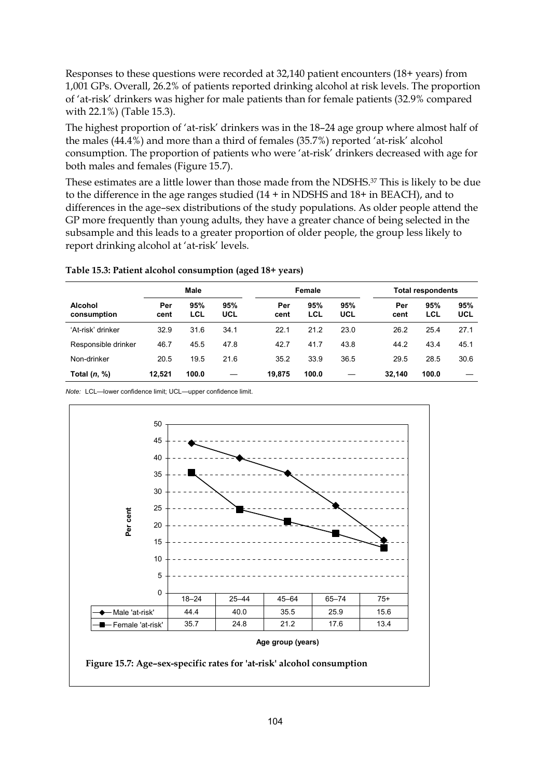Responses to these questions were recorded at 32,140 patient encounters (18+ years) from 1,001 GPs. Overall, 26.2% of patients reported drinking alcohol at risk levels. The proportion of 'at-risk' drinkers was higher for male patients than for female patients (32.9% compared with 22.1%) (Table 15.3).

The highest proportion of 'at-risk' drinkers was in the 18–24 age group where almost half of the males (44.4%) and more than a third of females (35.7%) reported 'at-risk' alcohol consumption. The proportion of patients who were 'at-risk' drinkers decreased with age for both males and females (Figure 15.7).

These estimates are a little lower than those made from the NDSHS.37 This is likely to be due to the difference in the age ranges studied (14 + in NDSHS and 18+ in BEACH), and to differences in the age–sex distributions of the study populations. As older people attend the GP more frequently than young adults, they have a greater chance of being selected in the subsample and this leads to a greater proportion of older people, the group less likely to report drinking alcohol at 'at-risk' levels.

#### **Table 15.3: Patient alcohol consumption (aged 18+ years)**

|                               | Male        |            |            | Female      |            |            | <b>Total respondents</b> |            |            |
|-------------------------------|-------------|------------|------------|-------------|------------|------------|--------------------------|------------|------------|
| <b>Alcohol</b><br>consumption | Per<br>cent | 95%<br>LCL | 95%<br>UCL | Per<br>cent | 95%<br>LCL | 95%<br>UCL | Per<br>cent              | 95%<br>LCL | 95%<br>UCL |
| 'At-risk' drinker             | 32.9        | 31.6       | 34.1       | 22.1        | 21.2       | 23.0       | 26.2                     | 25.4       | 27.1       |
| Responsible drinker           | 46.7        | 45.5       | 47.8       | 42.7        | 41.7       | 43.8       | 44.2                     | 43.4       | 45.1       |
| Non-drinker                   | 20.5        | 19.5       | 21.6       | 35.2        | 33.9       | 36.5       | 29.5                     | 28.5       | 30.6       |
| Total $(n, %)$                | 12.521      | 100.0      |            | 19.875      | 100.0      |            | 32.140                   | 100.0      |            |

*Note:* LCL—lower confidence limit; UCL—upper confidence limit.

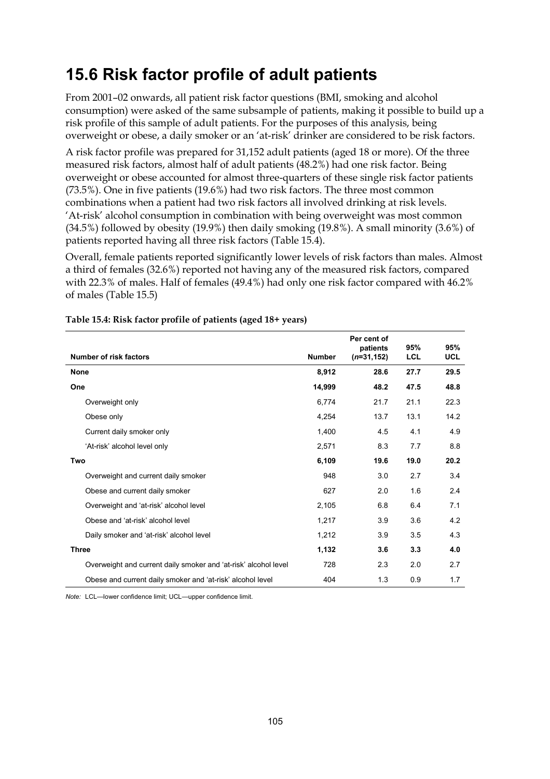# **15.6 Risk factor profile of adult patients**

From 2001–02 onwards, all patient risk factor questions (BMI, smoking and alcohol consumption) were asked of the same subsample of patients, making it possible to build up a risk profile of this sample of adult patients. For the purposes of this analysis, being overweight or obese, a daily smoker or an 'at-risk' drinker are considered to be risk factors.

A risk factor profile was prepared for 31,152 adult patients (aged 18 or more). Of the three measured risk factors, almost half of adult patients (48.2%) had one risk factor. Being overweight or obese accounted for almost three-quarters of these single risk factor patients (73.5%). One in five patients (19.6%) had two risk factors. The three most common combinations when a patient had two risk factors all involved drinking at risk levels. 'At-risk' alcohol consumption in combination with being overweight was most common  $(34.5\%)$  followed by obesity  $(19.9\%)$  then daily smoking  $(19.8\%)$ . A small minority  $(3.6\%)$  of patients reported having all three risk factors (Table 15.4).

Overall, female patients reported significantly lower levels of risk factors than males. Almost a third of females (32.6%) reported not having any of the measured risk factors, compared with 22.3% of males. Half of females (49.4%) had only one risk factor compared with 46.2% of males (Table 15.5)

|                                                                 |               | Per cent of<br>patients | 95%        | 95%        |
|-----------------------------------------------------------------|---------------|-------------------------|------------|------------|
| Number of risk factors                                          | <b>Number</b> | $(n=31, 152)$           | <b>LCL</b> | <b>UCL</b> |
| <b>None</b>                                                     | 8,912         | 28.6                    | 27.7       | 29.5       |
| One                                                             | 14,999        | 48.2                    | 47.5       | 48.8       |
| Overweight only                                                 | 6,774         | 21.7                    | 21.1       | 22.3       |
| Obese only                                                      | 4,254         | 13.7                    | 13.1       | 14.2       |
| Current daily smoker only                                       | 1,400         | 4.5                     | 4.1        | 4.9        |
| 'At-risk' alcohol level only                                    | 2,571         | 8.3                     | 7.7        | 8.8        |
| Two                                                             | 6,109         | 19.6                    | 19.0       | 20.2       |
| Overweight and current daily smoker                             | 948           | 3.0                     | 2.7        | 3.4        |
| Obese and current daily smoker                                  | 627           | 2.0                     | 1.6        | 2.4        |
| Overweight and 'at-risk' alcohol level                          | 2,105         | 6.8                     | 6.4        | 7.1        |
| Obese and 'at-risk' alcohol level                               | 1,217         | 3.9                     | 3.6        | 4.2        |
| Daily smoker and 'at-risk' alcohol level                        | 1,212         | 3.9                     | 3.5        | 4.3        |
| <b>Three</b>                                                    | 1,132         | 3.6                     | 3.3        | 4.0        |
| Overweight and current daily smoker and 'at-risk' alcohol level | 728           | 2.3                     | 2.0        | 2.7        |
| Obese and current daily smoker and 'at-risk' alcohol level      | 404           | 1.3                     | 0.9        | 1.7        |

#### **Table 15.4: Risk factor profile of patients (aged 18+ years)**

*Note:* LCL—lower confidence limit; UCL—upper confidence limit.